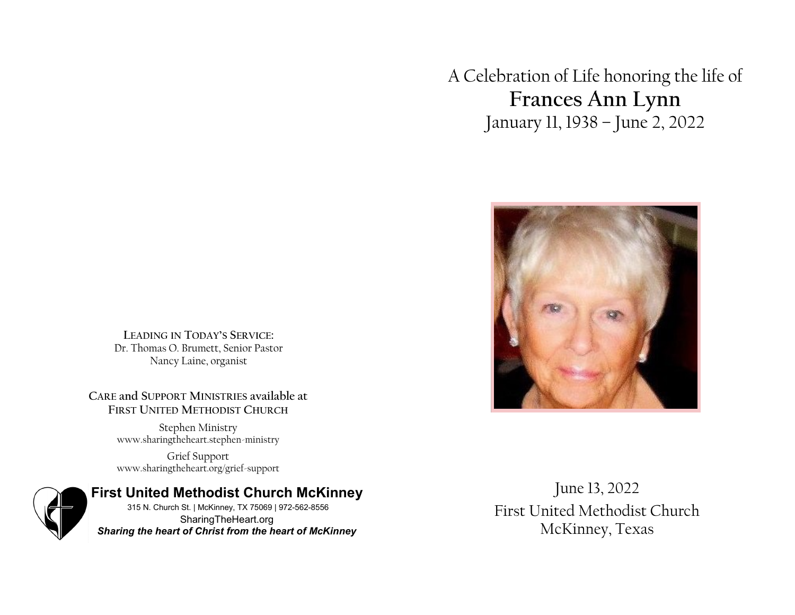A Celebration of Life honoring the life of **Frances Ann Lynn** January 11, 1938 – June 2, 2022



**LEADING IN TODAY'S SERVICE:** Dr. Thomas O. Brumett, Senior Pastor Nancy Laine, organist

**CARE and SUPPORT MINISTRIES available at FIRST UNITED METHODIST CHURCH**

> Stephen Ministry www.sharingtheheart.stephen-ministry

> Grief Support www.sharingtheheart.org/grief-support



June 13, 2022 First United Methodist Church McKinney, Texas